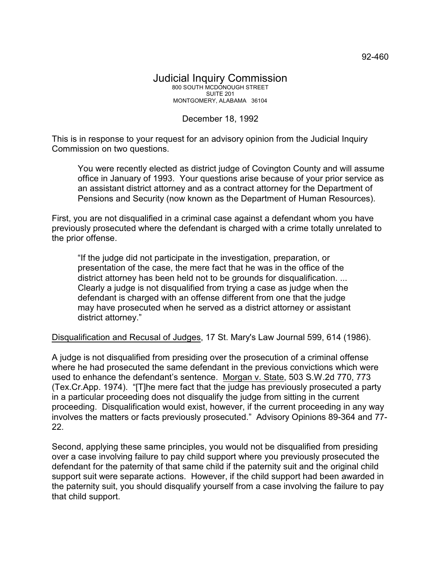## December 18, 1992

This is in response to your request for an advisory opinion from the Judicial Inquiry Commission on two questions.

You were recently elected as district judge of Covington County and will assume office in January of 1993. Your questions arise because of your prior service as an assistant district attorney and as a contract attorney for the Department of Pensions and Security (now known as the Department of Human Resources).

First, you are not disqualified in a criminal case against a defendant whom you have previously prosecuted where the defendant is charged with a crime totally unrelated to the prior offense.

"If the judge did not participate in the investigation, preparation, or presentation of the case, the mere fact that he was in the office of the district attorney has been held not to be grounds for disqualification. ... Clearly a judge is not disqualified from trying a case as judge when the defendant is charged with an offense different from one that the judge may have prosecuted when he served as a district attorney or assistant district attorney."

Disqualification and Recusal of Judges, 17 St. Mary's Law Journal 599, 614 (1986).

A judge is not disqualified from presiding over the prosecution of a criminal offense where he had prosecuted the same defendant in the previous convictions which were used to enhance the defendant's sentence. Morgan v. State, 503 S.W.2d 770, 773 (Tex.Cr.App. 1974). "[T]he mere fact that the judge has previously prosecuted a party in a particular proceeding does not disqualify the judge from sitting in the current proceeding. Disqualification would exist, however, if the current proceeding in any way involves the matters or facts previously prosecuted." Advisory Opinions 89-364 and 77- 22.

Second, applying these same principles, you would not be disqualified from presiding over a case involving failure to pay child support where you previously prosecuted the defendant for the paternity of that same child if the paternity suit and the original child support suit were separate actions. However, if the child support had been awarded in the paternity suit, you should disqualify yourself from a case involving the failure to pay that child support.